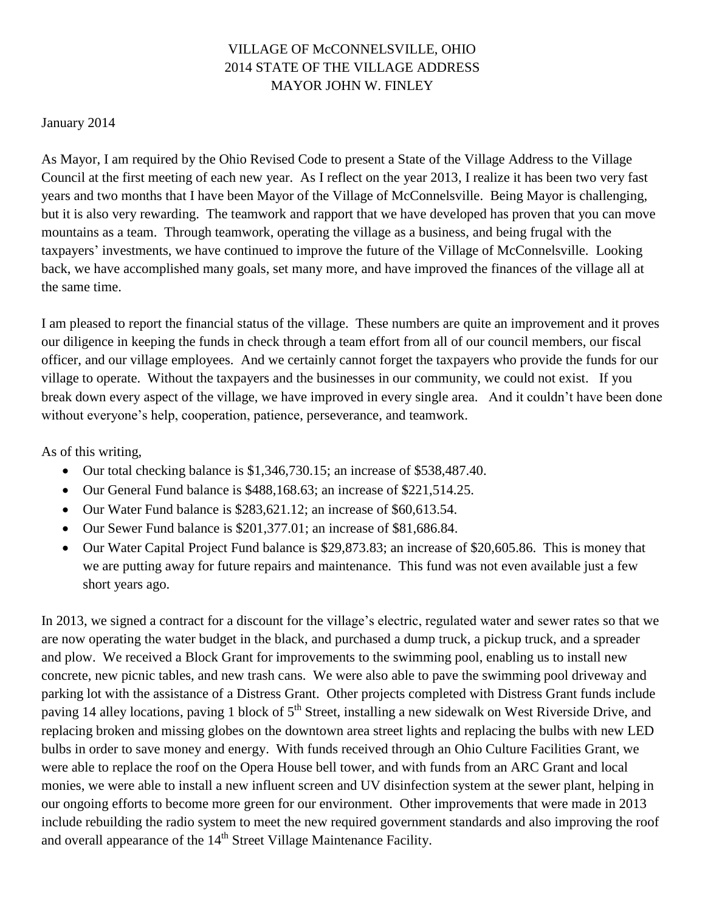## VILLAGE OF McCONNELSVILLE, OHIO 2014 STATE OF THE VILLAGE ADDRESS MAYOR JOHN W. FINLEY

## January 2014

As Mayor, I am required by the Ohio Revised Code to present a State of the Village Address to the Village Council at the first meeting of each new year. As I reflect on the year 2013, I realize it has been two very fast years and two months that I have been Mayor of the Village of McConnelsville. Being Mayor is challenging, but it is also very rewarding. The teamwork and rapport that we have developed has proven that you can move mountains as a team. Through teamwork, operating the village as a business, and being frugal with the taxpayers' investments, we have continued to improve the future of the Village of McConnelsville. Looking back, we have accomplished many goals, set many more, and have improved the finances of the village all at the same time.

I am pleased to report the financial status of the village. These numbers are quite an improvement and it proves our diligence in keeping the funds in check through a team effort from all of our council members, our fiscal officer, and our village employees. And we certainly cannot forget the taxpayers who provide the funds for our village to operate. Without the taxpayers and the businesses in our community, we could not exist. If you break down every aspect of the village, we have improved in every single area. And it couldn't have been done without everyone's help, cooperation, patience, perseverance, and teamwork.

As of this writing,

- Our total checking balance is \$1,346,730.15; an increase of \$538,487.40.
- Our General Fund balance is \$488,168.63; an increase of \$221,514.25.
- Our Water Fund balance is \$283,621.12; an increase of \$60,613.54.
- Our Sewer Fund balance is \$201,377.01; an increase of \$81,686.84.
- Our Water Capital Project Fund balance is \$29,873.83; an increase of \$20,605.86. This is money that we are putting away for future repairs and maintenance. This fund was not even available just a few short years ago.

In 2013, we signed a contract for a discount for the village's electric, regulated water and sewer rates so that we are now operating the water budget in the black, and purchased a dump truck, a pickup truck, and a spreader and plow. We received a Block Grant for improvements to the swimming pool, enabling us to install new concrete, new picnic tables, and new trash cans. We were also able to pave the swimming pool driveway and parking lot with the assistance of a Distress Grant. Other projects completed with Distress Grant funds include paving 14 alley locations, paving 1 block of 5<sup>th</sup> Street, installing a new sidewalk on West Riverside Drive, and replacing broken and missing globes on the downtown area street lights and replacing the bulbs with new LED bulbs in order to save money and energy. With funds received through an Ohio Culture Facilities Grant, we were able to replace the roof on the Opera House bell tower, and with funds from an ARC Grant and local monies, we were able to install a new influent screen and UV disinfection system at the sewer plant, helping in our ongoing efforts to become more green for our environment. Other improvements that were made in 2013 include rebuilding the radio system to meet the new required government standards and also improving the roof and overall appearance of the 14<sup>th</sup> Street Village Maintenance Facility.